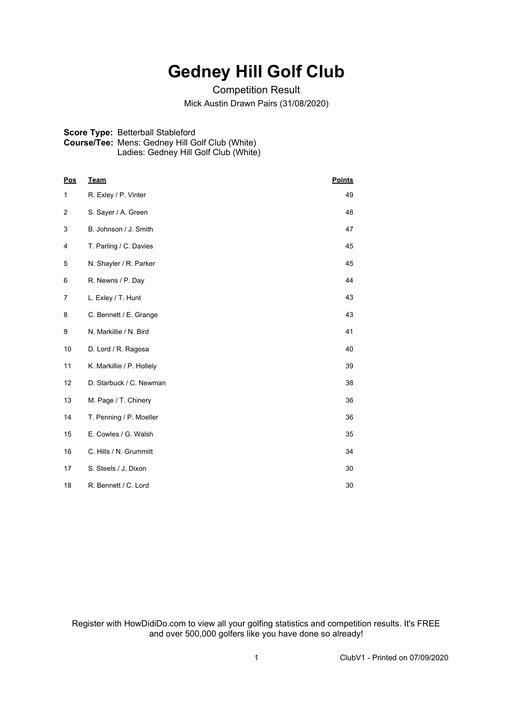## **Gedney Hill Golf Club**

Competition Result Mick Austin Drawn Pairs (31/08/2020)

## **Score Type:** Betterball Stableford **Course/Tee:** Mens: Gedney Hill Golf Club (White) Ladies: Gedney Hill Golf Club (White)

| Pos | <b>Team</b>               | <b>Points</b> |
|-----|---------------------------|---------------|
| 1   | R. Exley / P. Vinter      | 49            |
| 2   | S. Sayer / A. Green       | 48            |
| 3   | B. Johnson / J. Smith     | 47            |
| 4   | T. Parling / C. Davies    | 45            |
| 5   | N. Shayler / R. Parker    | 45            |
| 6   | R. Newns / P. Day         | 44            |
| 7   | L. Exley / T. Hunt        | 43            |
| 8   | C. Bennett / E. Grange    | 43            |
| 9   | N. Markillie / N. Bird    | 41            |
| 10  | D. Lord / R. Ragosa       | 40            |
| 11  | K. Markillie / P. Hollely | 39            |
| 12  | D. Starbuck / C. Newman   | 38            |
| 13  | M. Page / T. Chinery      | 36            |
| 14  | T. Penning / P. Moeller   | 36            |
| 15  | E. Cowles / G. Walsh      | 35            |
| 16  | C. Hills / N. Grummitt    | 34            |
| 17  | S. Steels / J. Dixon      | 30            |
| 18  | R. Bennett / C. Lord      | 30            |

Register with HowDidiDo.com to view all your golfing statistics and competition results. It's FREE and over 500,000 golfers like you have done so already!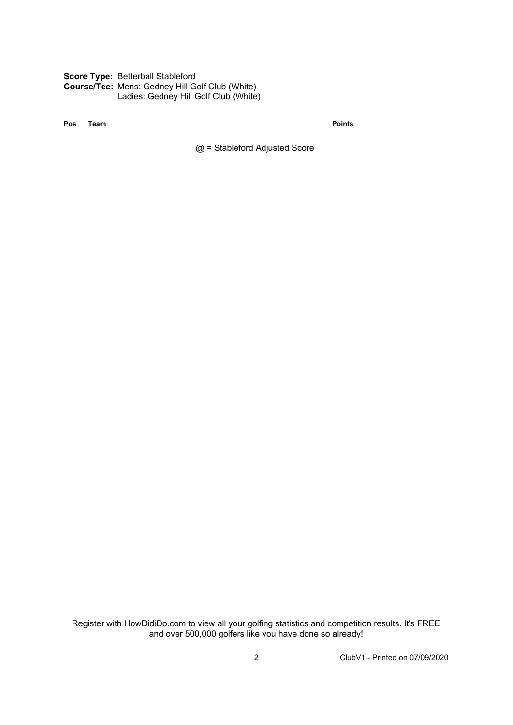**Score Type:** Betterball Stableford **Course/Tee:** Mens: Gedney Hill Golf Club (White) Ladies: Gedney Hill Golf Club (White)

**Pos Team Points**

@ = Stableford Adjusted Score

Register with HowDidiDo.com to view all your golfing statistics and competition results. It's FREE and over 500,000 golfers like you have done so already!